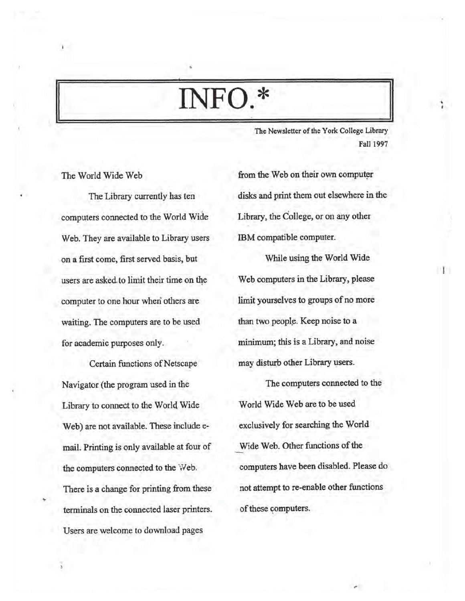# **INFO.\***

The Newsletter of the York College Library Fall 1997

#### The World Wide Web

i

The Library currently has ten computers connected to the World Wide Web. They are available to Library users on a first come, first served basis, but users are asked to limit their time on the computer to one hour when others are waiting. The computers are to be used for academic purposes only.

Certain functions of Netscape Navigator (the program used in the Library to connect to the World Wide Web) are not available. These include email. Printing is only available at four of the computers connected to the 'Web. There is a change for printing from these terminals on the connected laser printers. Users are welcome to download pages

from the Web on their own computer disks and print them out elsewhere in the Library, the College, or on any other IBM compatible computer.

While using the World Wide Web computers in the Library, please limit yourselves to groups of no more than two people. Keep noise to a minimum; this is a Library, and noise may disturb other Library users.

The computers connected to the World Wide Web are to be used exclusively for searching the World Wide Web. Other functions of the computers have been disabled. Please do not attempt to re-enable other functions of these computers.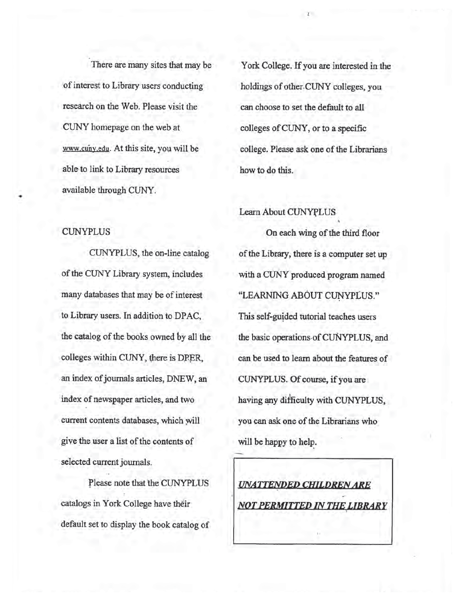There are many sites that may be of interest to Library users conducting research on the Web. Please visit the CUNY homepage on the web at www.cuny.edu. At this site, you will be able^to link to Library resources available through CUNY.

#### CUNYPLUS

CUNYPLUS, the on-line catalog of the CUNY Library system, includes many databases that may be of interest to Library users. In addition to DPAC, the catalog of the books owned by all the colleges within CUNY, there is DPER, an index of journals articles, DNEW, an index of newspaper articles, and two current contents databases, which will give the user a list of the contents of selected current journals.

Please note that the CUNYPLUS catalogs in York College have their default set to display the book catalog of

York College. If you are interested in the holdings of other-CUNY colleges, you can choose to set the default to all colleges of CUNY, or to a specific college. Please ask one of the Librarians how to do this.

%

*I*

#### Learn About CUNYPLUS

On each wing of the third floor of the Library, there is a computer set up with a CUNY produced program named "LEARNING ABOUT CUNYPLUS." This self-guided tutorial teaches users the basic operations of CUNYPLUS, and can be used to learn about the features of CUNYPLUS. Of course, if you are having any difficulty with CUNYPLUS, you can ask one of the Librarians who will be happy to help.

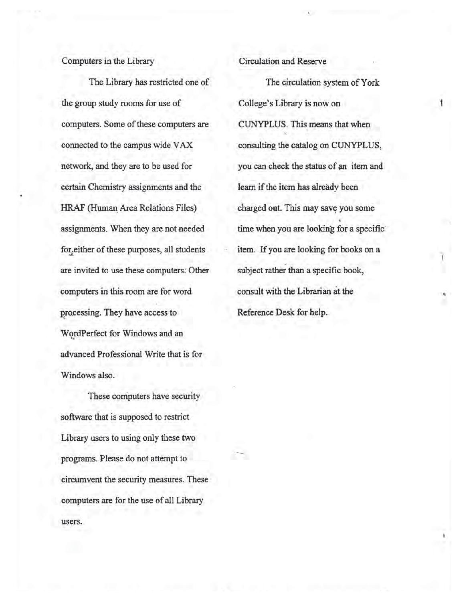### Computers in the Library

The Library has restricted one of the group study rooms for use of computers. Some of these computers are connected to the campus wide VAX network, and they are to be used for certain Chemistry assignments and the HRAF (Human Area Relations Files) assignments. When they are not needed for either of these purposes, all students are invited to use these computers. Other computers in this room are for word processing. They have access to WordPerfect for Windows and an advanced Professional Write that is for Windows also.

These computers have security software that is supposed to restrict Library users to using only these two programs. Please do not attempt to circumvent the security measures. These computers are for the use of all Library users.

## Circulation and Reserve

The circulation system of York College's Library is now on CUNYPLUS. This means that when consulting the catalog on CUNYPLUS, you can check the status of an item and learn if the item has already been charged out. This may save you some <4 time when you are looking for a specific' item. If you are looking for books on a subject rather than a specific book, consult with the Librarian at the Reference Desk for help.